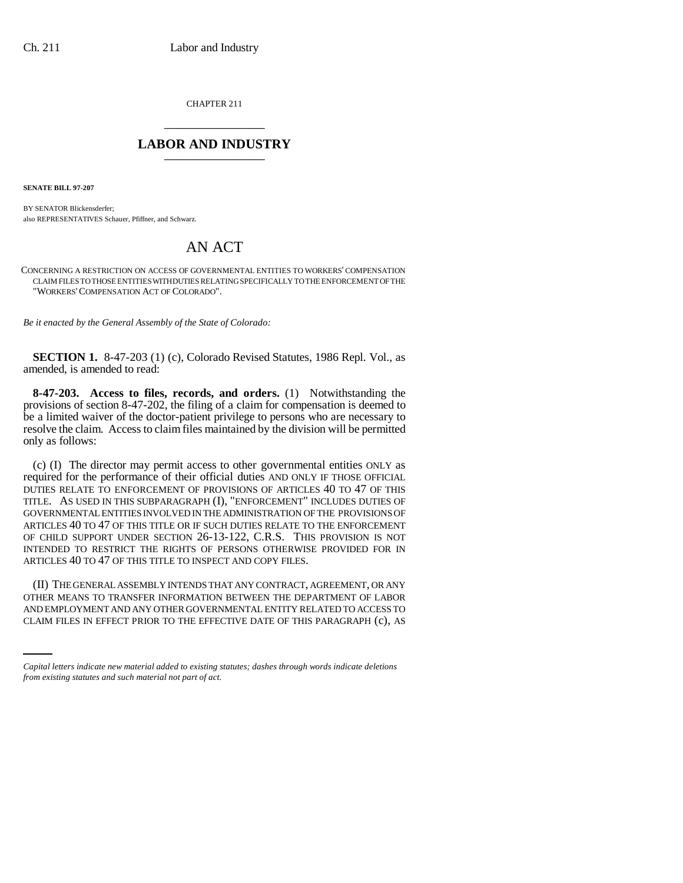CHAPTER 211 \_\_\_\_\_\_\_\_\_\_\_\_\_\_\_

## **LABOR AND INDUSTRY** \_\_\_\_\_\_\_\_\_\_\_\_\_\_\_

**SENATE BILL 97-207**

BY SENATOR Blickensderfer; also REPRESENTATIVES Schauer, Pfiffner, and Schwarz.

## AN ACT

CONCERNING A RESTRICTION ON ACCESS OF GOVERNMENTAL ENTITIES TO WORKERS' COMPENSATION CLAIM FILES TO THOSE ENTITIES WITH DUTIES RELATING SPECIFICALLY TO THE ENFORCEMENT OF THE "WORKERS'COMPENSATION ACT OF COLORADO".

*Be it enacted by the General Assembly of the State of Colorado:*

**SECTION 1.** 8-47-203 (1) (c), Colorado Revised Statutes, 1986 Repl. Vol., as amended, is amended to read:

**8-47-203. Access to files, records, and orders.** (1) Notwithstanding the provisions of section 8-47-202, the filing of a claim for compensation is deemed to be a limited waiver of the doctor-patient privilege to persons who are necessary to resolve the claim. Access to claim files maintained by the division will be permitted only as follows:

(c) (I) The director may permit access to other governmental entities ONLY as required for the performance of their official duties AND ONLY IF THOSE OFFICIAL DUTIES RELATE TO ENFORCEMENT OF PROVISIONS OF ARTICLES 40 TO 47 OF THIS TITLE. AS USED IN THIS SUBPARAGRAPH (I), "ENFORCEMENT" INCLUDES DUTIES OF GOVERNMENTAL ENTITIES INVOLVED IN THE ADMINISTRATION OF THE PROVISIONS OF ARTICLES 40 TO 47 OF THIS TITLE OR IF SUCH DUTIES RELATE TO THE ENFORCEMENT OF CHILD SUPPORT UNDER SECTION 26-13-122, C.R.S. THIS PROVISION IS NOT INTENDED TO RESTRICT THE RIGHTS OF PERSONS OTHERWISE PROVIDED FOR IN ARTICLES 40 TO 47 OF THIS TITLE TO INSPECT AND COPY FILES.

OTHER MEANS TO TRANSFER INFORMATION BETWEEN THE DEPARTMENT OF LABOR (II) THE GENERAL ASSEMBLY INTENDS THAT ANY CONTRACT, AGREEMENT, OR ANY AND EMPLOYMENT AND ANY OTHER GOVERNMENTAL ENTITY RELATED TO ACCESS TO CLAIM FILES IN EFFECT PRIOR TO THE EFFECTIVE DATE OF THIS PARAGRAPH (c), AS

*Capital letters indicate new material added to existing statutes; dashes through words indicate deletions from existing statutes and such material not part of act.*